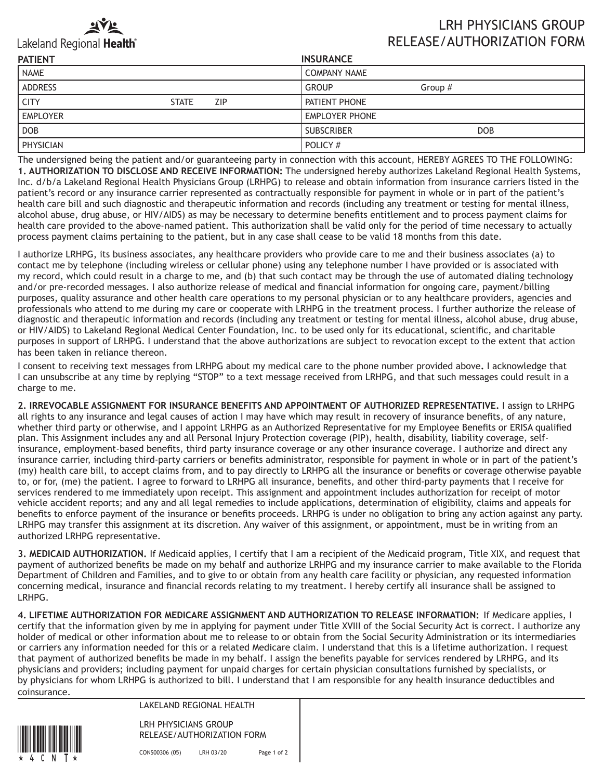

## Lakeland Regional Health®

## LRH PHYSICIANS GROUP RELEASE/AUTHORIZATION FORM

| <b>PATIENT</b>   |              |            | <b>INSURANCE</b>      |            |
|------------------|--------------|------------|-----------------------|------------|
| <b>NAME</b>      |              |            | <b>COMPANY NAME</b>   |            |
| <b>ADDRESS</b>   |              |            | <b>GROUP</b>          | Group $#$  |
| <b>CITY</b>      | <b>STATE</b> | <b>ZIP</b> | PATIENT PHONE         |            |
| <b>EMPLOYER</b>  |              |            | <b>EMPLOYER PHONE</b> |            |
| <b>DOB</b>       |              |            | <b>SUBSCRIBER</b>     | <b>DOB</b> |
| <b>PHYSICIAN</b> |              |            | POLICY #              |            |

The undersigned being the patient and/or guaranteeing party in connection with this account, HEREBY AGREES TO THE FOLLOWING: **1. AUTHORIZATION TO DISCLOSE AND RECEIVE INFORMATION:** The undersigned hereby authorizes Lakeland Regional Health Systems, Inc. d/b/a Lakeland Regional Health Physicians Group (LRHPG) to release and obtain information from insurance carriers listed in the patient's record or any insurance carrier represented as contractually responsible for payment in whole or in part of the patient's health care bill and such diagnostic and therapeutic information and records (including any treatment or testing for mental illness, alcohol abuse, drug abuse, or HIV/AIDS) as may be necessary to determine benefits entitlement and to process payment claims for health care provided to the above-named patient. This authorization shall be valid only for the period of time necessary to actually process payment claims pertaining to the patient, but in any case shall cease to be valid 18 months from this date.

I authorize LRHPG, its business associates, any healthcare providers who provide care to me and their business associates (a) to contact me by telephone (including wireless or cellular phone) using any telephone number I have provided or is associated with my record, which could result in a charge to me, and (b) that such contact may be through the use of automated dialing technology and/or pre-recorded messages. I also authorize release of medical and financial information for ongoing care, payment/billing purposes, quality assurance and other health care operations to my personal physician or to any healthcare providers, agencies and professionals who attend to me during my care or cooperate with LRHPG in the treatment process. I further authorize the release of diagnostic and therapeutic information and records (including any treatment or testing for mental illness, alcohol abuse, drug abuse, or HIV/AIDS) to Lakeland Regional Medical Center Foundation, Inc. to be used only for its educational, scientific, and charitable purposes in support of LRHPG. I understand that the above authorizations are subject to revocation except to the extent that action has been taken in reliance thereon.

I consent to receiving text messages from LRHPG about my medical care to the phone number provided above**.** I acknowledge that I can unsubscribe at any time by replying "STOP" to a text message received from LRHPG, and that such messages could result in a charge to me.

**2. IRREVOCABLE ASSIGNMENT FOR INSURANCE BENEFITS AND APPOINTMENT OF AUTHORIZED REPRESENTATIVE.** I assign to LRHPG all rights to any insurance and legal causes of action I may have which may result in recovery of insurance benefits, of any nature, whether third party or otherwise, and I appoint LRHPG as an Authorized Representative for my Employee Benefits or ERISA qualified plan. This Assignment includes any and all Personal Injury Protection coverage (PIP), health, disability, liability coverage, selfinsurance, employment-based benefits, third party insurance coverage or any other insurance coverage. I authorize and direct any insurance carrier, including third-party carriers or benefits administrator, responsible for payment in whole or in part of the patient's (my) health care bill, to accept claims from, and to pay directly to LRHPG all the insurance or benefits or coverage otherwise payable to, or for, (me) the patient. I agree to forward to LRHPG all insurance, benefits, and other third-party payments that I receive for services rendered to me immediately upon receipt. This assignment and appointment includes authorization for receipt of motor vehicle accident reports; and any and all legal remedies to include applications, determination of eligibility, claims and appeals for benefits to enforce payment of the insurance or benefits proceeds. LRHPG is under no obligation to bring any action against any party. LRHPG may transfer this assignment at its discretion. Any waiver of this assignment, or appointment, must be in writing from an authorized LRHPG representative.

**3. MEDICAID AUTHORIZATION.** If Medicaid applies, I certify that I am a recipient of the Medicaid program, Title XIX, and request that payment of authorized benefits be made on my behalf and authorize LRHPG and my insurance carrier to make available to the Florida Department of Children and Families, and to give to or obtain from any health care facility or physician, any requested information concerning medical, insurance and financial records relating to my treatment. I hereby certify all insurance shall be assigned to LRHPG.

**4. LIFETIME AUTHORIZATION FOR MEDICARE ASSIGNMENT AND AUTHORIZATION TO RELEASE INFORMATION:** If Medicare applies, I certify that the information given by me in applying for payment under Title XVIII of the Social Security Act is correct. I authorize any holder of medical or other information about me to release to or obtain from the Social Security Administration or its intermediaries or carriers any information needed for this or a related Medicare claim. I understand that this is a lifetime authorization. I request that payment of authorized benefits be made in my behalf. I assign the benefits payable for services rendered by LRHPG, and its physicians and providers; including payment for unpaid charges for certain physician consultations furnished by specialists, or by physicians for whom LRHPG is authorized to bill. I understand that I am responsible for any health insurance deductibles and coinsurance.



LAKELAND REGIONAL HEALTH

LRH PHYSICIANS GROUP RELEASE/AUTHORIZATION FORM

CONS00306 (05) LRH 03/20 Page 1 of 2